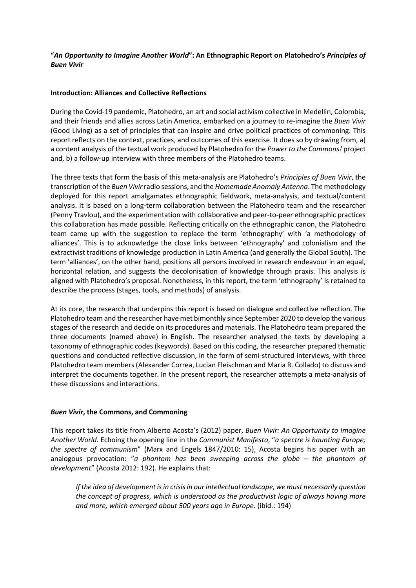# **"***An Opportunity to Imagine Another World***": An Ethnographic Report on Platohedro's** *Principles of Buen Vivir*

## **Introduction: Alliances and Collective Reflections**

During the Covid-19 pandemic, Platohedro, an art and social activism collective in Medellin, Colombia, and their friends and allies across Latin America, embarked on a journey to re-imagine the *Buen Vivir* (Good Living) as a set of principles that can inspire and drive political practices of commoning. This report reflects on the context, practices, and outcomes of this exercise. It does so by drawing from, a) a content analysis of the textual work produced by Platohedro for the *Power to the Commons!* project and, b) a follow-up interview with three members of the Platohedro teams.

The three texts that form the basis of this meta-analysis are Platohedro's *Principles of Buen Vivir*, the transcription of the *Buen Vivir*radio sessions, and the *Homemade Anomaly Antenna*. The methodology deployed for this report amalgamates ethnographic fieldwork, meta-analysis, and textual/content analysis. It is based on a long-term collaboration between the Platohedro team and the researcher (Penny Travlou), and the experimentation with collaborative and peer-to-peer ethnographic practices this collaboration has made possible. Reflecting critically on the ethnographic canon, the Platohedro team came up with the suggestion to replace the term 'ethnography' with 'a methodology of alliances'. This is to acknowledge the close links between 'ethnography' and colonialism and the extractivist traditions of knowledge production in Latin America (and generally the Global South). The term 'alliances', on the other hand, positions all persons involved in research endeavour in an equal, horizontal relation, and suggests the decolonisation of knowledge through praxis. This analysis is aligned with Platohedro's proposal. Nonetheless, in this report, the term 'ethnography' is retained to describe the process (stages, tools, and methods) of analysis.

At its core, the research that underpins this report is based on dialogue and collective reflection. The Platohedro team and the researcher have met bimonthly since September 2020 to develop the various stages of the research and decide on its procedures and materials. The Platohedro team prepared the three documents (named above) in English. The researcher analysed the texts by developing a taxonomy of ethnographic codes (keywords). Based on this coding, the researcher prepared thematic questions and conducted reflective discussion, in the form of semi-structured interviews, with three Platohedro team members (Alexander Correa, Lucian Fleischman and Maria R. Collado) to discuss and interpret the documents together. In the present report, the researcher attempts a meta-analysis of these discussions and interactions.

## *Buen Vivir***, the Commons, and Commoning**

This report takes its title from Alberto Acosta's (2012) paper, *Buen Vivir: An Opportunity to Imagine Another World*. Echoing the opening line in the *Communist Manifesto*, "*a spectre is haunting Europe; the spectre of communism*" (Marx and Engels 1847/2010: 15), Acosta begins his paper with an analogous provocation: "*a phantom has been sweeping across the globe – the phantom of development*" (Acosta 2012: 192). He explains that:

*If the idea of development is in crisis in our intellectual landscape, we must necessarily question the concept of progress, which is understood as the productivist logic of always having more and more, which emerged about 500 years ago in Europe.* (ibid.: 194)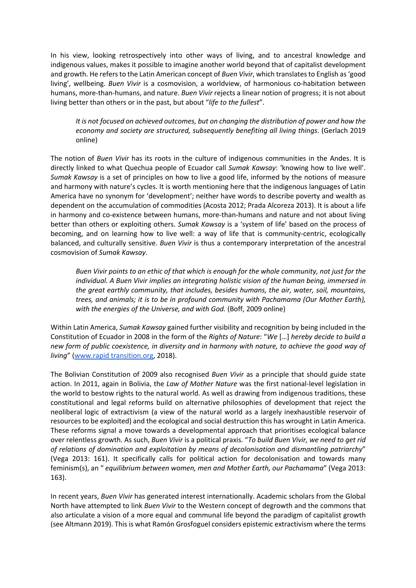In his view, looking retrospectively into other ways of living, and to ancestral knowledge and indigenous values, makes it possible to imagine another world beyond that of capitalist development and growth. He refers to the Latin American concept of *Buen Vivir*, which translates to English as 'good living', wellbeing. *Buen Vivir* is a cosmovision, a worldview, of harmonious co-habitation between humans, more-than-humans, and nature. *Buen Vivir* rejects a linear notion of progress; it is not about living better than others or in the past, but about "*life to the fullest*".

*It is not focused on achieved outcomes, but on changing the distribution of power and how the economy and society are structured, subsequently benefiting all living things*. (Gerlach 2019 online)

The notion of *Buen Vivir* has its roots in the culture of indigenous communities in the Andes. It is directly linked to what Quechua people of Ecuador call *Sumak Kawsay*: 'knowing how to live well'. *Sumak Kawsay* is a set of principles on how to live a good life, informed by the notions of measure and harmony with nature's cycles. It is worth mentioning here that the indigenous languages of Latin America have no synonym for 'development'; neither have words to describe poverty and wealth as dependent on the accumulation of commodities (Acosta 2012; Prada Alcoreza 2013). It is about a life in harmony and co-existence between humans, more-than-humans and nature and not about living better than others or exploiting others. *Sumak Kawsay* is a 'system of life' based on the process of becoming, and on learning how to live well: a way of life that is community-centric, ecologically balanced, and culturally sensitive. *Buen Vivir* is thus a contemporary interpretation of the ancestral cosmovision of *Sumak Kawsay*.

*Buen Vivir points to an ethic of that which is enough for the whole community, not just for the individual. A Buen Vivir implies an integrating holistic vision of the human being, immersed in the great earthly community, that includes, besides humans, the air, water, soil, mountains, trees, and animals; it is to be in profound community with Pachamama (Our Mother Earth), with the energies of the Universe, and with God.* (Boff, 2009 online)

Within Latin America, *Sumak Kawsay* gained further visibility and recognition by being included in the Constitution of Ecuador in 2008 in the form of the *Rights of Nature*: "*We* […] *hereby decide to build a new form of public coexistence, in diversity and in harmony with nature, to achieve the good way of living*" (www.rapid transition.org, 2018).

The Bolivian Constitution of 2009 also recognised *Buen Vivir* as a principle that should guide state action. In 2011, again in Bolivia, the *Law of Mother Nature* was the first national-level legislation in the world to bestow rights to the natural world. As well as drawing from indigenous traditions, these constitutional and legal reforms build on alternative philosophies of development that reject the neoliberal logic of extractivism (a view of the natural world as a largely inexhaustible reservoir of resources to be exploited) and the ecological and social destruction this has wrought in Latin America. These reforms signal a move towards a developmental approach that prioritises ecological balance over relentless growth. As such, *Buen Vivir* is a political praxis. "*To build Buen Vivir, we need to get rid of relations of domination and exploitation by means of decolonisation and dismantling patriarchy*" (Vega 2013: 161). It specifically calls for political action for decolonisation and towards many feminism(s), an " *equilibrium between women, men and Mother Earth, our Pachamama*" (Vega 2013: 163).

In recent years, *Buen Vivir* has generated interest internationally. Academic scholars from the Global North have attempted to link *Buen Vivir* to the Western concept of degrowth and the commons that also articulate a vision of a more equal and communal life beyond the paradigm of capitalist growth (see Altmann 2019). This is what Ramón Grosfoguel considers epistemic extractivism where the terms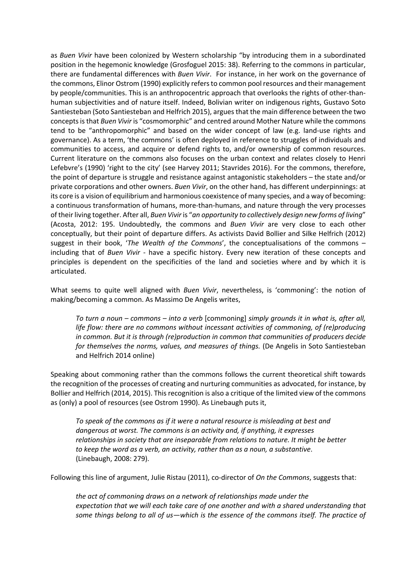as *Buen Vivir* have been colonized by Western scholarship "by introducing them in a subordinated position in the hegemonic knowledge (Grosfoguel 2015: 38). Referring to the commons in particular, there are fundamental differences with *Buen Vivir*. For instance, in her work on the governance of the commons, Elinor Ostrom (1990) explicitly refers to common pool resources and their management by people/communities. This is an anthropocentric approach that overlooks the rights of other-thanhuman subjectivities and of nature itself. Indeed, Bolivian writer on indigenous rights, Gustavo Soto Santiesteban (Soto Santiesteban and Helfrich 2015), argues that the main difference between the two concepts is that *Buen Vivir* is "cosmomorphic" and centred around Mother Nature while the commons tend to be "anthropomorphic" and based on the wider concept of law (e.g. land-use rights and governance). As a term, 'the commons' is often deployed in reference to struggles of individuals and communities to access, and acquire or defend rights to, and/or ownership of common resources. Current literature on the commons also focuses on the urban context and relates closely to Henri Lefebvre's (1990) 'right to the city' (see Harvey 2011; Stavrides 2016). For the commons, therefore, the point of departure is struggle and resistance against antagonistic stakeholders – the state and/or private corporations and other owners. *Buen Vivir*, on the other hand, has different underpinnings: at its core is a vision of equilibrium and harmonious coexistence of many species, and a way of becoming: a continuous transformation of humans, more-than-humans, and nature through the very processes of their living together. After all, *Buen Vivir* is "*an opportunity to collectively design new forms of living*" (Acosta, 2012: 195. Undoubtedly, the commons and *Buen Vivir* are very close to each other conceptually, but their point of departure differs. As activists David Bollier and Silke Helfrich (2012) suggest in their book, '*The Wealth of the Commons*', the conceptualisations of the commons – including that of *Buen Vivir* - have a specific history. Every new iteration of these concepts and principles is dependent on the specificities of the land and societies where and by which it is articulated.

What seems to quite well aligned with *Buen Vivir*, nevertheless, is 'commoning': the notion of making/becoming a common. As Massimo De Angelis writes,

*To turn a noun – commons – into a verb* [commoning] *simply grounds it in what is, after all, life flow: there are no commons without incessant activities of commoning, of (re)producing in common. But it is through (re)production in common that communities of producers decide for themselves the norms, values, and measures of things.* (De Angelis in Soto Santiesteban and Helfrich 2014 online)

Speaking about commoning rather than the commons follows the current theoretical shift towards the recognition of the processes of creating and nurturing communities as advocated, for instance, by Bollier and Helfrich (2014, 2015). This recognition is also a critique of the limited view of the commons as (only) a pool of resources (see Ostrom 1990). As Linebaugh puts it,

*To speak of the commons as if it were a natural resource is misleading at best and dangerous at worst. The commons is an activity and, if anything, it expresses relationships in society that are inseparable from relations to nature. It might be better to keep the word as a verb, an activity, rather than as a noun, a substantive*. (Linebaugh, 2008: 279).

Following this line of argument, Julie Ristau (2011), co-director of *On the Commons*, suggests that:

*the act of commoning draws on a network of relationships made under the expectation that we will each take care of one another and with a shared understanding that some things belong to all of us—which is the essence of the commons itself. The practice of*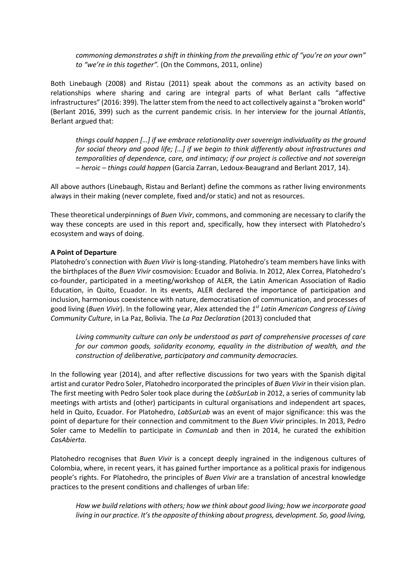*commoning demonstrates a shift in thinking from the prevailing ethic of "you're on your own" to "we're in this together".* (On the Commons, 2011, online)

Both Linebaugh (2008) and Ristau (2011) speak about the commons as an activity based on relationships where sharing and caring are integral parts of what Berlant calls "affective infrastructures" (2016: 399). The latter stem from the need to act collectively against a "broken world" (Berlant 2016, 399) such as the current pandemic crisis. In her interview for the journal *Atlantis*, Berlant argued that:

*things could happen […] if we embrace relationality over sovereign individuality as the ground for social theory and good life; […] if we begin to think differently about infrastructures and temporalities of dependence, care, and intimacy; if our project is collective and not sovereign – heroic – things could happen* (Garcia Zarran, Ledoux-Beaugrand and Berlant 2017, 14).

All above authors (Linebaugh, Ristau and Berlant) define the commons as rather living environments always in their making (never complete, fixed and/or static) and not as resources.

These theoretical underpinnings of *Buen Vivir*, commons, and commoning are necessary to clarify the way these concepts are used in this report and, specifically, how they intersect with Platohedro's ecosystem and ways of doing.

#### **A Point of Departure**

Platohedro's connection with *Buen Vivir* is long-standing. Platohedro's team members have links with the birthplaces of the *Buen Vivir* cosmovision: Ecuador and Bolivia. In 2012, Alex Correa, Platohedro's co-founder, participated in a meeting/workshop of ALER, the Latin American Association of Radio Education, in Quito, Ecuador. In its events, ALER declared the importance of participation and inclusion, harmonious coexistence with nature, democratisation of communication, and processes of good living (*Buen Vivir*). In the following year, Alex attended the *1st Latin American Congress of Living Community Culture*, in La Paz, Bolivia. The *La Paz Declaration* (2013) concluded that

*Living community culture can only be understood as part of comprehensive processes of care for our common goods, solidarity economy, equality in the distribution of wealth, and the construction of deliberative, participatory and community democracies.*

In the following year (2014), and after reflective discussions for two years with the Spanish digital artist and curator Pedro Soler, Platohedro incorporated the principles of *Buen Vivir* in their vision plan. The first meeting with Pedro Soler took place during the *LabSurLab* in 2012, a series of community lab meetings with artists and (other) participants in cultural organisations and independent art spaces, held in Quito, Ecuador. For Platohedro, *LabSurLab* was an event of major significance: this was the point of departure for their connection and commitment to the *Buen Vivir* principles. In 2013, Pedro Soler came to Medellín to participate in *ComunLab* and then in 2014, he curated the exhibition *CasAbierta*.

Platohedro recognises that *Buen Vivir* is a concept deeply ingrained in the indigenous cultures of Colombia, where, in recent years, it has gained further importance as a political praxis for indigenous people's rights. For Platohedro, the principles of *Buen Vivir* are a translation of ancestral knowledge practices to the present conditions and challenges of urban life:

*How we build relations with others; how we think about good living; how we incorporate good living in our practice. It's the opposite of thinking about progress, development. So, good living,*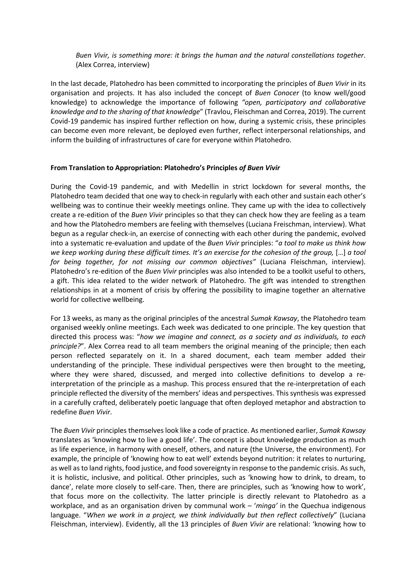*Buen Vivir, is something more: it brings the human and the natural constellations together*. (Alex Correa, interview)

In the last decade, Platohedro has been committed to incorporating the principles of *Buen Vivir* in its organisation and projects. It has also included the concept of *Buen Conocer* (to know well/good knowledge) to acknowledge the importance of following *"open, participatory and collaborative knowledge and to the sharing of that knowledge*" (Travlou, Fleischman and Correa, 2019). The current Covid-19 pandemic has inspired further reflection on how, during a systemic crisis, these principles can become even more relevant, be deployed even further, reflect interpersonal relationships, and inform the building of infrastructures of care for everyone within Platohedro.

#### **From Translation to Appropriation: Platohedro's Principles** *of Buen Vivir*

During the Covid-19 pandemic, and with Medellin in strict lockdown for several months, the Platohedro team decided that one way to check-in regularly with each other and sustain each other's wellbeing was to continue their weekly meetings online. They came up with the idea to collectively create a re-edition of the *Buen Vivir* principles so that they can check how they are feeling as a team and how the Platohedro members are feeling with themselves (Luciana Freischman, interview). What begun as a regular check-in, an exercise of connecting with each other during the pandemic, evolved into a systematic re-evaluation and update of the *Buen Vivir* principles: "*a tool to make us think how we keep working during these difficult times. It's an exercise for the cohesion of the group,* […] *a tool for being together, for not missing our common objectives"* (Luciana Fleischman, interview). Platohedro's re-edition of the *Buen Vivir* principles was also intended to be a toolkit useful to others, a gift. This idea related to the wider network of Platohedro. The gift was intended to strengthen relationships in at a moment of crisis by offering the possibility to imagine together an alternative world for collective wellbeing.

For 13 weeks, as many as the original principles of the ancestral *Sumak Kawsay*, the Platohedro team organised weekly online meetings. Each week was dedicated to one principle. The key question that directed this process was: "*how we imagine and connect, as a society and as individuals, to each principle?*". Alex Correa read to all team members the original meaning of the principle; then each person reflected separately on it. In a shared document, each team member added their understanding of the principle. These individual perspectives were then brought to the meeting, where they were shared, discussed, and merged into collective definitions to develop a reinterpretation of the principle as a mashup. This process ensured that the re-interpretation of each principle reflected the diversity of the members' ideas and perspectives. This synthesis was expressed in a carefully crafted, deliberately poetic language that often deployed metaphor and abstraction to redefine *Buen Vivir*.

The *Buen Vivir* principles themselves look like a code of practice. As mentioned earlier, *Sumak Kawsay* translates as 'knowing how to live a good life'. The concept is about knowledge production as much as life experience, in harmony with oneself, others, and nature (the Universe, the environment). For example, the principle of 'knowing how to eat well' extends beyond nutrition: it relates to nurturing, as well as to land rights, food justice, and food sovereignty in response to the pandemic crisis. As such, it is holistic, inclusive, and political. Other principles, such as 'knowing how to drink, to dream, to dance', relate more closely to self-care. Then, there are principles, such as 'knowing how to work', that focus more on the collectivity. The latter principle is directly relevant to Platohedro as a workplace, and as an organisation driven by communal work – '*minga'* in the Quechua indigenous language. "*When we work in a project, we think individually but then reflect collectively*" (Luciana Fleischman, interview). Evidently, all the 13 principles of *Buen Vivir* are relational: 'knowing how to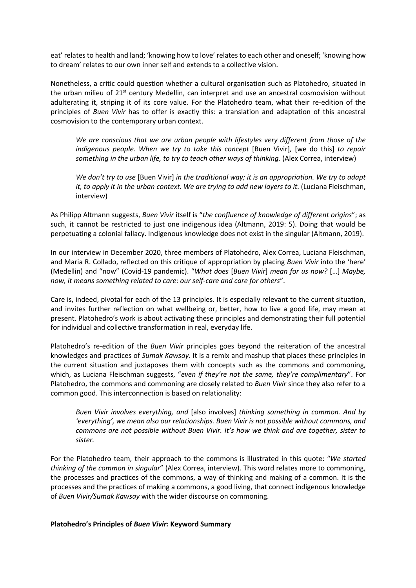eat' relates to health and land; 'knowing how to love' relates to each other and oneself; 'knowing how to dream' relates to our own inner self and extends to a collective vision.

Nonetheless, a critic could question whether a cultural organisation such as Platohedro, situated in the urban milieu of 21<sup>st</sup> century Medellin, can interpret and use an ancestral cosmovision without adulterating it, striping it of its core value. For the Platohedro team, what their re-edition of the principles of *Buen Vivir* has to offer is exactly this: a translation and adaptation of this ancestral cosmovision to the contemporary urban context.

*We are conscious that we are urban people with lifestyles very different from those of the indigenous people. When we try to take this concept* [Buen Vivir], [we do this] to repair *something in the urban life, to try to teach other ways of thinking.* (Alex Correa, interview)

*We don't try to use* [Buen Vivir] *in the traditional way; it is an appropriation. We try to adapt it, to apply it in the urban context. We are trying to add new layers to it.* (Luciana Fleischman, interview)

As Philipp Altmann suggests, *Buen Vivir* itself is "*the confluence of knowledge of different origins*"; as such, it cannot be restricted to just one indigenous idea (Altmann, 2019: 5). Doing that would be perpetuating a colonial fallacy. Indigenous knowledge does not exist in the singular (Altmann, 2019).

In our interview in December 2020, three members of Platohedro, Alex Correa, Luciana Fleischman, and Maria R. Collado, reflected on this critique of appropriation by placing *Buen Vivir* into the 'here' (Medellin) and "now" (Covid-19 pandemic). "*What does* [*Buen Vivir*] *mean for us now?* […] *Maybe, now, it means something related to care: our self-care and care for others*".

Care is, indeed, pivotal for each of the 13 principles. It is especially relevant to the current situation, and invites further reflection on what wellbeing or, better, how to live a good life, may mean at present. Platohedro's work is about activating these principles and demonstrating their full potential for individual and collective transformation in real, everyday life.

Platohedro's re-edition of the *Buen Vivir* principles goes beyond the reiteration of the ancestral knowledges and practices of *Sumak Kawsay*. It is a remix and mashup that places these principles in the current situation and juxtaposes them with concepts such as the commons and commoning, which, as Luciana Fleischman suggests, "*even if they're not the same, they're complimentary*". For Platohedro, the commons and commoning are closely related to *Buen Vivir* since they also refer to a common good. This interconnection is based on relationality:

*Buen Vivir involves everything, and* [also involves] *thinking something in common. And by 'everything', we mean also our relationships. Buen Vivir is not possible without commons, and commons are not possible without Buen Vivir. It's how we think and are together, sister to sister.* 

For the Platohedro team, their approach to the commons is illustrated in this quote: "*We started thinking of the common in singular*" (Alex Correa, interview). This word relates more to commoning, the processes and practices of the commons, a way of thinking and making of a common. It is the processes and the practices of making a commons, a good living, that connect indigenous knowledge of *Buen Vivir/Sumak Kawsay* with the wider discourse on commoning.

#### **Platohedro's Principles of** *Buen Vivir:* **Keyword Summary**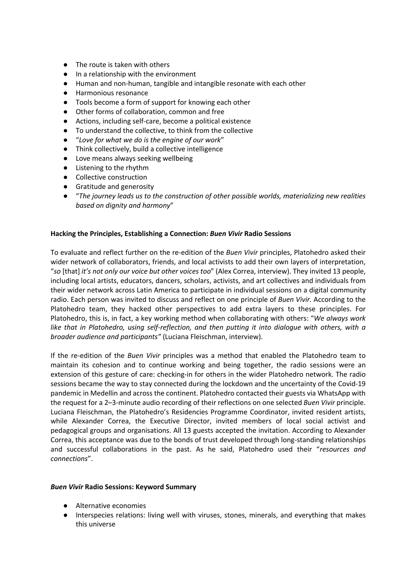- The route is taken with others
- In a relationship with the environment
- Human and non-human, tangible and intangible resonate with each other
- Harmonious resonance
- Tools become a form of support for knowing each other
- Other forms of collaboration, common and free
- Actions, including self-care, become a political existence
- To understand the collective, to think from the collective
- "Love for what we do is the engine of our work"
- Think collectively, build a collective intelligence
- Love means always seeking wellbeing
- Listening to the rhythm
- Collective construction
- Gratitude and generosity
- "*The journey leads us to the construction of other possible worlds, materializing new realities based on dignity and harmony*"

## **Hacking the Principles, Establishing a Connection:** *Buen Vivir* **Radio Sessions**

To evaluate and reflect further on the re-edition of the *Buen Vivir* principles, Platohedro asked their wider network of collaborators, friends, and local activists to add their own layers of interpretation, "*so* [that] *it's not only our voice but other voices too*" (Alex Correa, interview). They invited 13 people, including local artists, educators, dancers, scholars, activists, and art collectives and individuals from their wider network across Latin America to participate in individual sessions on a digital community radio. Each person was invited to discuss and reflect on one principle of *Buen Vivir.* According to the Platohedro team, they hacked other perspectives to add extra layers to these principles. For Platohedro, this is, in fact, a key working method when collaborating with others: "*We always work like that in Platohedro, using self-reflection, and then putting it into dialogue with others, with a broader audience and participants"* (Luciana Fleischman, interview).

If the re-edition of the *Buen Vivir* principles was a method that enabled the Platohedro team to maintain its cohesion and to continue working and being together, the radio sessions were an extension of this gesture of care: checking-in for others in the wider Platohedro network. The radio sessions became the way to stay connected during the lockdown and the uncertainty of the Covid-19 pandemic in Medellin and across the continent. Platohedro contacted their guests via WhatsApp with the request for a 2–3-minute audio recording of their reflections on one selected *Buen Vivir* principle. Luciana Fleischman, the Platohedro's Residencies Programme Coordinator, invited resident artists, while Alexander Correa, the Executive Director, invited members of local social activist and pedagogical groups and organisations. All 13 guests accepted the invitation. According to Alexander Correa, this acceptance was due to the bonds of trust developed through long-standing relationships and successful collaborations in the past. As he said, Platohedro used their "*resources and connections*".

## *Buen Vivir* **Radio Sessions: Keyword Summary**

- Alternative economies
- Interspecies relations: living well with viruses, stones, minerals, and everything that makes this universe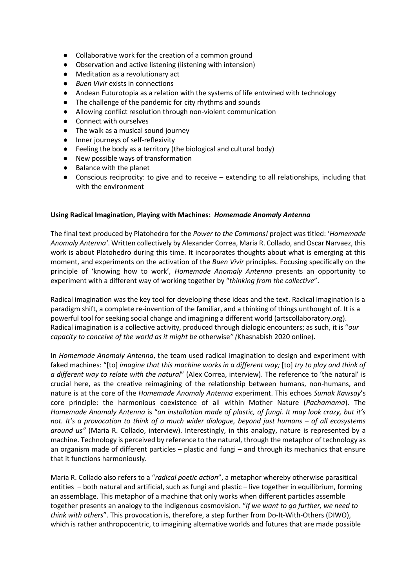- Collaborative work for the creation of a common ground
- Observation and active listening (listening with intension)
- Meditation as a revolutionary act
- *Buen Vivir* exists in connections
- Andean Futurotopia as a relation with the systems of life entwined with technology
- The challenge of the pandemic for city rhythms and sounds
- Allowing conflict resolution through non-violent communication
- Connect with ourselves
- The walk as a musical sound journey
- Inner journeys of self-reflexivity
- Feeling the body as a territory (the biological and cultural body)
- New possible ways of transformation
- Balance with the planet
- Conscious reciprocity: to give and to receive extending to all relationships, including that with the environment

#### **Using Radical Imagination, Playing with Machines:** *Homemade Anomaly Antenna*

The final text produced by Platohedro for the *Power to the Commons!* project was titled: '*Homemade Anomaly Antenna'*. Written collectively by Alexander Correa, Maria R. Collado, and Oscar Narvaez, this work is about Platohedro during this time. It incorporates thoughts about what is emerging at this moment, and experiments on the activation of the *Buen Vivir* principles. Focusing specifically on the principle of 'knowing how to work', *Homemade Anomaly Antenna* presents an opportunity to experiment with a different way of working together by "*thinking from the collective*".

Radical imagination was the key tool for developing these ideas and the text. Radical imagination is a paradigm shift, a complete re-invention of the familiar, and a thinking of things unthought of. It is a powerful tool for seeking social change and imagining a different world (artscollaboratory.org). Radical imagination is a collective activity, produced through dialogic encounters; as such, it is "*our capacity to conceive of the world as it might be* otherwise*" (*Khasnabish 2020 online).

In *Homemade Anomaly Antenna*, the team used radical imagination to design and experiment with faked machines: "[to] *imagine that this machine works in a different way;* [to] *try to play and think of a different way to relate with the natural*" (Alex Correa, interview). The reference to 'the natural' is crucial here, as the creative reimagining of the relationship between humans, non-humans, and nature is at the core of the *Homemade Anomaly Antenna* experiment. This echoes *Sumak Kawsay*'s core principle: the harmonious coexistence of all within Mother Nature (*Pachamama*). The *Homemade Anomaly Antenna* is "*an installation made of plastic, of fungi. It may look crazy, but it's not. It's a provocation to think of a much wider dialogue, beyond just humans – of all ecosystems around us"* (Maria R. Collado, interview). Interestingly, in this analogy, nature is represented by a machine. Technology is perceived by reference to the natural, through the metaphor of technology as an organism made of different particles – plastic and fungi – and through its mechanics that ensure that it functions harmoniously.

Maria R. Collado also refers to a "*radical poetic action*", a metaphor whereby otherwise parasitical entities – both natural and artificial, such as fungi and plastic – live together in equilibrium, forming an assemblage. This metaphor of a machine that only works when different particles assemble together presents an analogy to the indigenous cosmovision. "*If we want to go further, we need to think with others*". This provocation is, therefore, a step further from Do-It-With-Others (DIWO), which is rather anthropocentric, to imagining alternative worlds and futures that are made possible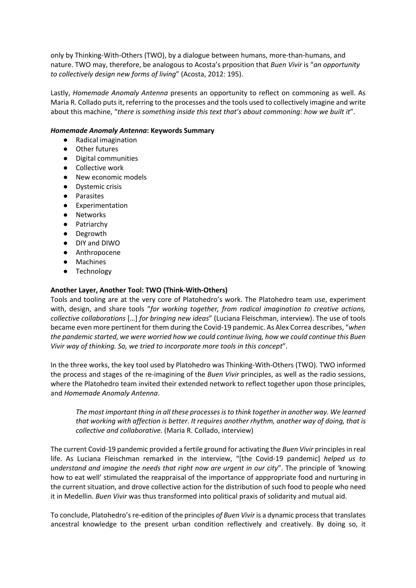only by Thinking-With-Others (TWO), by a dialogue between humans, more-than-humans, and nature. TWO may, therefore, be analogous to Acosta's prposition that *Buen Vivir* is "*an opportunity to collectively design new forms of living*" (Acosta, 2012: 195).

Lastly, *Homemade Anomaly Antenna* presents an opportunity to reflect on commoning as well. As Maria R. Collado puts it, referring to the processes and the tools used to collectively imagine and write about this machine, "*there is something inside this text that's about commoning: how we built it*".

## *Homemade Anomaly Antenna***: Keywords Summary**

- Radical imagination
- Other futures
- Digital communities
- Collective work
- New economic models
- Dystemic crisis
- Parasites
- Experimentation
- Networks
- Patriarchy
- Degrowth
- DIY and DIWO
- Anthropocene
- Machines
- Technology

# **Another Layer, Another Tool: TWO (Think-With-Others)**

Tools and tooling are at the very core of Platohedro's work. The Platohedro team use, experiment with, design, and share tools "*for working together, from radical imagination to creative actions, collective collaborations* […] *for bringing new ideas*" (Luciana Fleischman, interview). The use of tools became even more pertinent for them during the Covid-19 pandemic. As Alex Correa describes, "*when the pandemic started, we were worried how we could continue living, how we could continue this Buen Vivir way of thinking. So, we tried to incorporate more tools in this concept*".

In the three works, the key tool used by Platohedro was Thinking-With-Others (TWO). TWO informed the process and stages of the re-imagining of the *Buen Vivir* principles, as well as the radio sessions, where the Platohedro team invited their extended network to reflect together upon those principles, and *Homemade Anomaly Antenna*.

*The most important thing in all these processes is to think together in another way. We learned that working with affection is better. It requires another rhythm, another way of doing, that is collective and collaborative.* (Maria R. Collado, interview)

The current Covid-19 pandemic provided a fertile ground for activating the *Buen Vivir* principles in real life. As Luciana Fleischman remarked in the interview, "[the Covid-19 pandemic] *helped us to understand and imagine the needs that right now are urgent in our city*". The principle of 'knowing how to eat well' stimulated the reappraisal of the importance of apppropriate food and nurturing in the current situation, and drove collective action for the distribution of such food to people who need it in Medellin. *Buen Vivir* was thus transformed into political praxis of solidarity and mutual aid.

To conclude, Platohedro's re-edition of the principles *of Buen Vivir* is a dynamic process that translates ancestral knowledge to the present urban condition reflectively and creatively. By doing so, it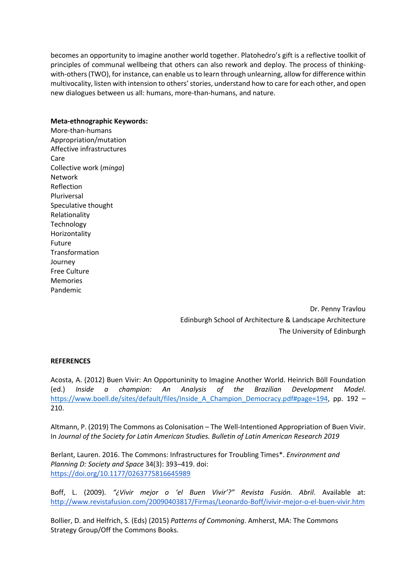becomes an opportunity to imagine another world together. Platohedro's gift is a reflective toolkit of principles of communal wellbeing that others can also rework and deploy. The process of thinkingwith-others (TWO), for instance, can enable us to learn through unlearning, allow for difference within multivocality, listen with intension to others' stories, understand how to care for each other, and open new dialogues between us all: humans, more-than-humans, and nature.

## **Meta-ethnographic Keywords:**

More-than-humans Appropriation/mutation Affective infrastructures Care Collective work (*minga*) Network Reflection Pluriversal Speculative thought Relationality Technology Horizontality Future Transformation Journey Free Culture Memories Pandemic

> Dr. Penny Travlou Edinburgh School of Architecture & Landscape Architecture The University of Edinburgh

## **REFERENCES**

Acosta, A. (2012) Buen Vivir: An Opportuninity to Imagine Another World. Heinrich Böll Foundation (ed.) *Inside a champion: An Analysis of the Brazilian Development Model*. https://www.boell.de/sites/default/files/Inside A Champion Democracy.pdf#page=194, pp. 192 – 210.

Altmann, P. (2019) The Commons as Colonisation – The Well-Intentioned Appropriation of Buen Vivir. In *Journal of the Society for Latin American Studies. Bulletin of Latin American Research 2019*

Berlant, Lauren. 2016. The Commons: Infrastructures for Troubling Times\*. *Environment and Planning D: Society and Space* 34(3): 393–419. doi: https://doi.org/10.1177/0263775816645989

Boff, L. (2009). *"¿Vivir mejor o 'el Buen Vivir'?" Revista Fusión. Abril*. Available at: http://www.revistafusion.com/20090403817/Firmas/Leonardo-Boff/ivivir-mejor-o-el-buen-vivir.htm

Bollier, D. and Helfrich, S. (Eds) (2015) *Patterns of Commoning*. Amherst, MA: The Commons Strategy Group/Off the Commons Books.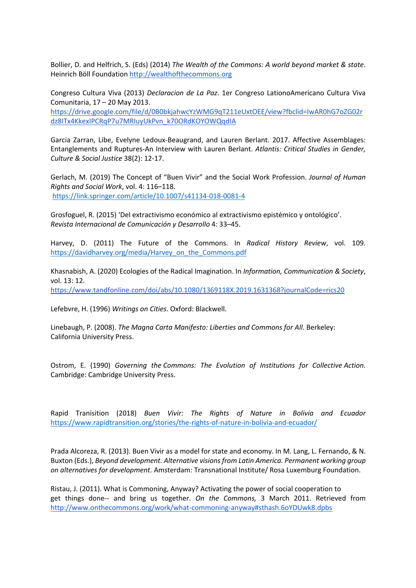Bollier, D. and Helfrich, S. (Eds) (2014) *The Wealth of the Commons: A world beyond market & state*. Heinrich Böll Foundation http://wealthofthecommons.org

Congreso Cultura Viva (2013) *Declaracion de La Paz*. 1er Congreso LationoAmericano Cultura Viva Comunitaria, 17 – 20 May 2013.

https://drive.google.com/file/d/0B0bkjahwcYzWMG9qT211eUxtOEE/view?fbclid=IwAR0hG7oZG02r dz8ITx4KkexIPCRqP7u7MRIuyUkPvn\_k70ORdKOYOWQqdIA

Garcia Zarran, Libe, Evelyne Ledoux-Beaugrand, and Lauren Berlant. 2017. Affective Assemblages: Entanglements and Ruptures-An Interview with Lauren Berlant. *Atlantis: Critical Studies in Gender, Culture & Social Justice* 38(2): 12-17.

Gerlach, M. (2019) The Concept of "Buen Vivir" and the Social Work Profession. *Journal of Human Rights and Social Work*, vol. 4: 116–118. https://link.springer.com/article/10.1007/s41134-018-0081-4

Grosfoguel, R. (2015) 'Del extractivismo económico al extractivismo epistémico y ontológico'. *Revista Internacional de Comunicación y Desarrollo* 4: 33–45.

Harvey, D. (2011) The Future of the Commons. In *Radical History Review*, vol. 109. https://davidharvey.org/media/Harvey\_on\_the\_Commons.pdf

Khasnabish, A. (2020) Ecologies of the Radical Imagination. In *Information, Communication & Society*, vol. 13: 12. https://www.tandfonline.com/doi/abs/10.1080/1369118X.2019.1631368?journalCode=rics20

Lefebvre, H. (1996) *Writings on Cities*. Oxford: Blackwell.

Linebaugh, P. (2008). *The Magna Carta Manifesto: Liberties and Commons for All*. Berkeley: California University Press.

Ostrom, E. (1990) *Governing the Commons: The Evolution of Institutions for Collective Action.* Cambridge: Cambridge University Press.

Rapid Tranisition (2018) *Buen Vivir: The Rights of Nature in Bolivia and Ecuador* https://www.rapidtransition.org/stories/the-rights-of-nature-in-bolivia-and-ecuador/

Prada Alcoreza, R. (2013). Buen Vivir as a model for state and economy. In M. Lang, L. Fernando, & N. Buxton (Eds.), *Beyond development. Alternative visions from Latin America. Permanent working group on alternatives for development*. Amsterdam: Transnational Institute/ Rosa Luxemburg Foundation.

Ristau, J. (2011). What is Commoning, Anyway? Activating the power of social cooperation to get things done-- and bring us together. *On the Commons,* 3 March 2011. Retrieved from http://www.onthecommons.org/work/what-commoning-anyway#sthash.6oYDUwk8.dpbs